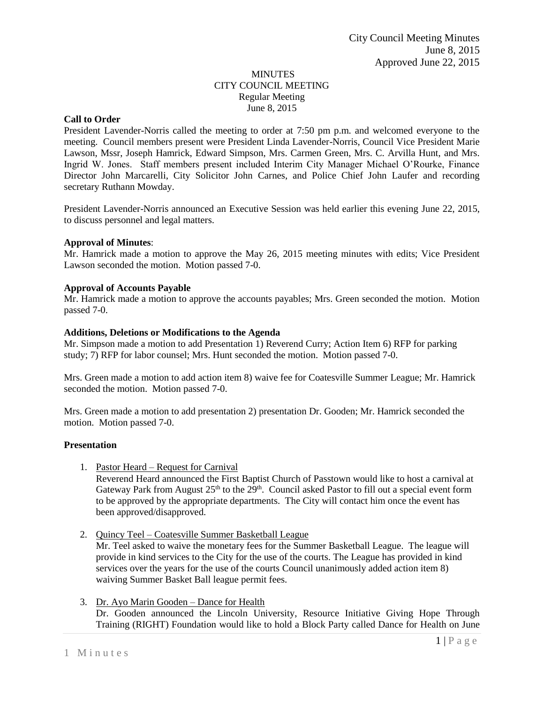#### MINUTES CITY COUNCIL MEETING Regular Meeting June 8, 2015

### **Call to Order**

President Lavender-Norris called the meeting to order at 7:50 pm p.m. and welcomed everyone to the meeting. Council members present were President Linda Lavender-Norris, Council Vice President Marie Lawson, Mssr, Joseph Hamrick, Edward Simpson, Mrs. Carmen Green, Mrs. C. Arvilla Hunt, and Mrs. Ingrid W. Jones. Staff members present included Interim City Manager Michael O'Rourke, Finance Director John Marcarelli, City Solicitor John Carnes, and Police Chief John Laufer and recording secretary Ruthann Mowday.

President Lavender-Norris announced an Executive Session was held earlier this evening June 22, 2015, to discuss personnel and legal matters.

#### **Approval of Minutes**:

Mr. Hamrick made a motion to approve the May 26, 2015 meeting minutes with edits; Vice President Lawson seconded the motion. Motion passed 7-0.

#### **Approval of Accounts Payable**

Mr. Hamrick made a motion to approve the accounts payables; Mrs. Green seconded the motion. Motion passed 7-0.

#### **Additions, Deletions or Modifications to the Agenda**

Mr. Simpson made a motion to add Presentation 1) Reverend Curry; Action Item 6) RFP for parking study; 7) RFP for labor counsel; Mrs. Hunt seconded the motion. Motion passed 7-0.

Mrs. Green made a motion to add action item 8) waive fee for Coatesville Summer League; Mr. Hamrick seconded the motion. Motion passed 7-0.

Mrs. Green made a motion to add presentation 2) presentation Dr. Gooden; Mr. Hamrick seconded the motion. Motion passed 7-0.

#### **Presentation**

1. Pastor Heard – Request for Carnival

Reverend Heard announced the First Baptist Church of Passtown would like to host a carnival at Gateway Park from August 25<sup>th</sup> to the 29<sup>th</sup>. Council asked Pastor to fill out a special event form to be approved by the appropriate departments. The City will contact him once the event has been approved/disapproved.

- 2. Quincy Teel Coatesville Summer Basketball League Mr. Teel asked to waive the monetary fees for the Summer Basketball League. The league will provide in kind services to the City for the use of the courts. The League has provided in kind services over the years for the use of the courts Council unanimously added action item 8) waiving Summer Basket Ball league permit fees.
- 3. Dr. Ayo Marin Gooden Dance for Health Dr. Gooden announced the Lincoln University, Resource Initiative Giving Hope Through Training (RIGHT) Foundation would like to hold a Block Party called Dance for Health on June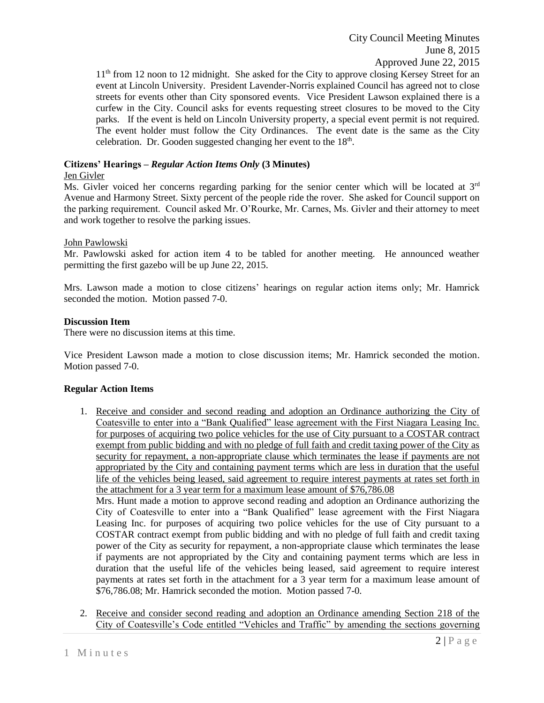1<sup>th</sup> from 12 noon to 12 midnight. She asked for the City to approve closing Kersey Street for an event at Lincoln University. President Lavender-Norris explained Council has agreed not to close streets for events other than City sponsored events. Vice President Lawson explained there is a curfew in the City. Council asks for events requesting street closures to be moved to the City parks. If the event is held on Lincoln University property, a special event permit is not required. The event holder must follow the City Ordinances. The event date is the same as the City celebration. Dr. Gooden suggested changing her event to the  $18<sup>th</sup>$ .

# **Citizens' Hearings –** *Regular Action Items Only* **(3 Minutes)**

# Jen Givler

Ms. Givler voiced her concerns regarding parking for the senior center which will be located at  $3<sup>rd</sup>$ Avenue and Harmony Street. Sixty percent of the people ride the rover. She asked for Council support on the parking requirement. Council asked Mr. O'Rourke, Mr. Carnes, Ms. Givler and their attorney to meet and work together to resolve the parking issues.

# John Pawlowski

Mr. Pawlowski asked for action item 4 to be tabled for another meeting. He announced weather permitting the first gazebo will be up June 22, 2015.

Mrs. Lawson made a motion to close citizens' hearings on regular action items only; Mr. Hamrick seconded the motion. Motion passed 7-0.

### **Discussion Item**

There were no discussion items at this time.

Vice President Lawson made a motion to close discussion items; Mr. Hamrick seconded the motion. Motion passed 7-0.

# **Regular Action Items**

1. Receive and consider and second reading and adoption an Ordinance authorizing the City of Coatesville to enter into a "Bank Qualified" lease agreement with the First Niagara Leasing Inc. for purposes of acquiring two police vehicles for the use of City pursuant to a COSTAR contract exempt from public bidding and with no pledge of full faith and credit taxing power of the City as security for repayment, a non-appropriate clause which terminates the lease if payments are not appropriated by the City and containing payment terms which are less in duration that the useful life of the vehicles being leased, said agreement to require interest payments at rates set forth in the attachment for a 3 year term for a maximum lease amount of \$76,786.08

Mrs. Hunt made a motion to approve second reading and adoption an Ordinance authorizing the City of Coatesville to enter into a "Bank Qualified" lease agreement with the First Niagara Leasing Inc. for purposes of acquiring two police vehicles for the use of City pursuant to a COSTAR contract exempt from public bidding and with no pledge of full faith and credit taxing power of the City as security for repayment, a non-appropriate clause which terminates the lease if payments are not appropriated by the City and containing payment terms which are less in duration that the useful life of the vehicles being leased, said agreement to require interest payments at rates set forth in the attachment for a 3 year term for a maximum lease amount of \$76,786.08; Mr. Hamrick seconded the motion. Motion passed 7-0.

2. Receive and consider second reading and adoption an Ordinance amending Section 218 of the City of Coatesville's Code entitled "Vehicles and Traffic" by amending the sections governing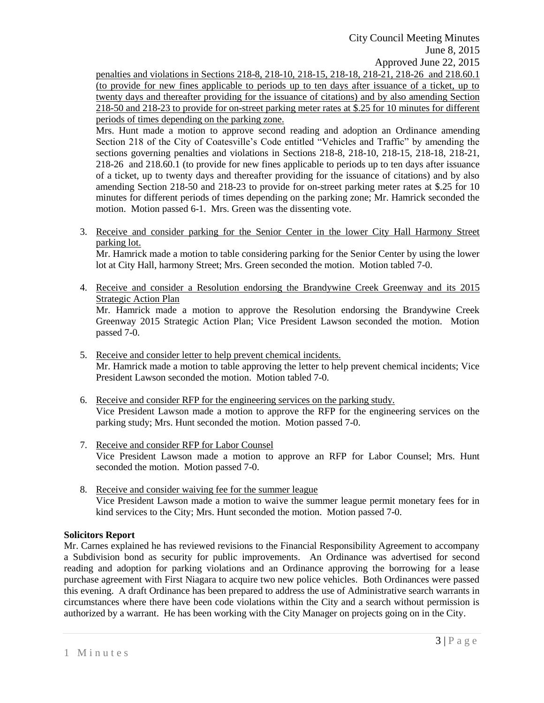City Council Meeting Minutes June 8, 2015 Approved June 22, 2015

penalties and violations in Sections 218-8, 218-10, 218-15, 218-18, 218-21, 218-26 and 218.60.1 (to provide for new fines applicable to periods up to ten days after issuance of a ticket, up to twenty days and thereafter providing for the issuance of citations) and by also amending Section 218-50 and 218-23 to provide for on-street parking meter rates at \$.25 for 10 minutes for different periods of times depending on the parking zone.

Mrs. Hunt made a motion to approve second reading and adoption an Ordinance amending Section 218 of the City of Coatesville's Code entitled "Vehicles and Traffic" by amending the sections governing penalties and violations in Sections 218-8, 218-10, 218-15, 218-18, 218-21, 218-26 and 218.60.1 (to provide for new fines applicable to periods up to ten days after issuance of a ticket, up to twenty days and thereafter providing for the issuance of citations) and by also amending Section 218-50 and 218-23 to provide for on-street parking meter rates at \$.25 for 10 minutes for different periods of times depending on the parking zone; Mr. Hamrick seconded the motion. Motion passed 6-1. Mrs. Green was the dissenting vote.

3. Receive and consider parking for the Senior Center in the lower City Hall Harmony Street parking lot.

Mr. Hamrick made a motion to table considering parking for the Senior Center by using the lower lot at City Hall, harmony Street; Mrs. Green seconded the motion. Motion tabled 7-0.

4. Receive and consider a Resolution endorsing the Brandywine Creek Greenway and its 2015 Strategic Action Plan

Mr. Hamrick made a motion to approve the Resolution endorsing the Brandywine Creek Greenway 2015 Strategic Action Plan; Vice President Lawson seconded the motion. Motion passed 7-0.

- 5. Receive and consider letter to help prevent chemical incidents. Mr. Hamrick made a motion to table approving the letter to help prevent chemical incidents; Vice President Lawson seconded the motion. Motion tabled 7-0.
- 6. Receive and consider RFP for the engineering services on the parking study. Vice President Lawson made a motion to approve the RFP for the engineering services on the parking study; Mrs. Hunt seconded the motion. Motion passed 7-0.
- 7. Receive and consider RFP for Labor Counsel Vice President Lawson made a motion to approve an RFP for Labor Counsel; Mrs. Hunt seconded the motion. Motion passed 7-0.
- 8. Receive and consider waiving fee for the summer league Vice President Lawson made a motion to waive the summer league permit monetary fees for in kind services to the City; Mrs. Hunt seconded the motion. Motion passed 7-0.

# **Solicitors Report**

Mr. Carnes explained he has reviewed revisions to the Financial Responsibility Agreement to accompany a Subdivision bond as security for public improvements. An Ordinance was advertised for second reading and adoption for parking violations and an Ordinance approving the borrowing for a lease purchase agreement with First Niagara to acquire two new police vehicles. Both Ordinances were passed this evening. A draft Ordinance has been prepared to address the use of Administrative search warrants in circumstances where there have been code violations within the City and a search without permission is authorized by a warrant. He has been working with the City Manager on projects going on in the City.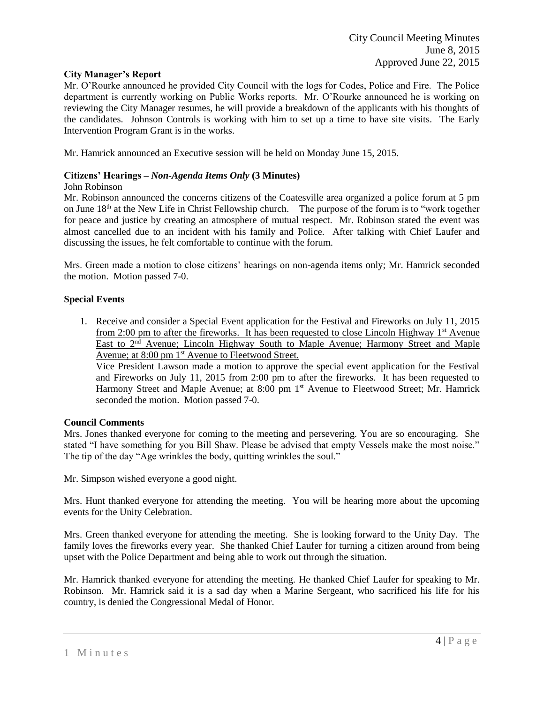### **City Manager's Report**

Mr. O'Rourke announced he provided City Council with the logs for Codes, Police and Fire. The Police department is currently working on Public Works reports. Mr. O'Rourke announced he is working on reviewing the City Manager resumes, he will provide a breakdown of the applicants with his thoughts of the candidates. Johnson Controls is working with him to set up a time to have site visits. The Early Intervention Program Grant is in the works.

Mr. Hamrick announced an Executive session will be held on Monday June 15, 2015.

# **Citizens' Hearings –** *Non-Agenda Items Only* **(3 Minutes)**

### John Robinson

Mr. Robinson announced the concerns citizens of the Coatesville area organized a police forum at 5 pm on June 18th at the New Life in Christ Fellowship church. The purpose of the forum is to "work together for peace and justice by creating an atmosphere of mutual respect. Mr. Robinson stated the event was almost cancelled due to an incident with his family and Police. After talking with Chief Laufer and discussing the issues, he felt comfortable to continue with the forum.

Mrs. Green made a motion to close citizens' hearings on non-agenda items only; Mr. Hamrick seconded the motion. Motion passed 7-0.

#### **Special Events**

1. Receive and consider a Special Event application for the Festival and Fireworks on July 11, 2015 from 2:00 pm to after the fireworks. It has been requested to close Lincoln Highway  $1<sup>st</sup>$  Avenue East to  $2<sup>nd</sup>$  Avenue; Lincoln Highway South to Maple Avenue; Harmony Street and Maple Avenue; at 8:00 pm 1<sup>st</sup> Avenue to Fleetwood Street.

Vice President Lawson made a motion to approve the special event application for the Festival and Fireworks on July 11, 2015 from 2:00 pm to after the fireworks. It has been requested to Harmony Street and Maple Avenue; at 8:00 pm 1<sup>st</sup> Avenue to Fleetwood Street; Mr. Hamrick seconded the motion. Motion passed 7-0.

# **Council Comments**

Mrs. Jones thanked everyone for coming to the meeting and persevering. You are so encouraging. She stated "I have something for you Bill Shaw. Please be advised that empty Vessels make the most noise." The tip of the day "Age wrinkles the body, quitting wrinkles the soul."

Mr. Simpson wished everyone a good night.

Mrs. Hunt thanked everyone for attending the meeting. You will be hearing more about the upcoming events for the Unity Celebration.

Mrs. Green thanked everyone for attending the meeting. She is looking forward to the Unity Day. The family loves the fireworks every year. She thanked Chief Laufer for turning a citizen around from being upset with the Police Department and being able to work out through the situation.

Mr. Hamrick thanked everyone for attending the meeting. He thanked Chief Laufer for speaking to Mr. Robinson. Mr. Hamrick said it is a sad day when a Marine Sergeant, who sacrificed his life for his country, is denied the Congressional Medal of Honor.